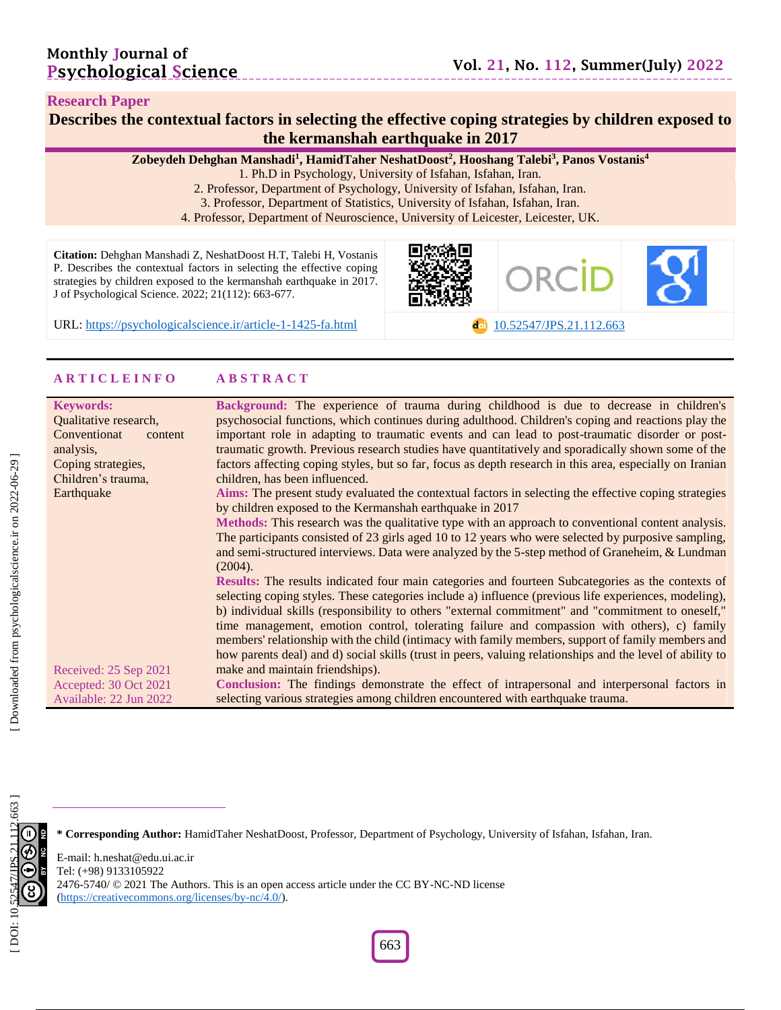#### **Research Paper**

### **Describes the contextual factors in selecting the effective coping strategies by children exposed to the kermanshah earthquake in 2017**

**Zobeydeh Dehghan Manshadi 1 , HamidTaher NeshatDoost 2 , Hooshang Talebi 3 , Panos Vostanis 4**

1. Ph.D in Psychology, University of Isfahan, Isfahan, Iran.

- 2. Professor, Department of Psychology, University of Isfahan, Isfahan, Iran.
- 3. Professor, Department of Statistics, University of Isfahan, Isfahan, Iran.

4. Professor, Department of Neuroscience , University of Leicester, Leicester, UK.

**Citation:** Dehghan Manshadi Z, NeshatDoost H.T, Talebi H, Vostanis P. Describes the contextual factors in selecting the effective coping strategies by children exposed to the kermanshah earthquake in 2017 . J of Psychological Science. 2022; 21(1 1 2): 663 -677 .



URL: [https://psychologicalscience.ir/article](https://psychologicalscience.ir/article-1-1425-fa.html)-1-1425

-fa.html [10.52547/JPS.21.11](https://psychologicalscience.ir/article-1-1425-fa.html) 2 .663

#### **A R T I C L E I N F O A B S T R A C T**

| <b>Keywords:</b>        | Background: The experience of trauma during childhood is due to decrease in children's                    |
|-------------------------|-----------------------------------------------------------------------------------------------------------|
| Qualitative research,   | psychosocial functions, which continues during adulthood. Children's coping and reactions play the        |
| Conventionat<br>content | important role in adapting to traumatic events and can lead to post-traumatic disorder or post-           |
| analysis,               | traumatic growth. Previous research studies have quantitatively and sporadically shown some of the        |
| Coping strategies,      | factors affecting coping styles, but so far, focus as depth research in this area, especially on Iranian  |
| Children's trauma,      | children, has been influenced.                                                                            |
| Earthquake              | Aims: The present study evaluated the contextual factors in selecting the effective coping strategies     |
|                         | by children exposed to the Kermanshah earthquake in 2017                                                  |
|                         | Methods: This research was the qualitative type with an approach to conventional content analysis.        |
|                         | The participants consisted of 23 girls aged 10 to 12 years who were selected by purposive sampling,       |
|                         | and semi-structured interviews. Data were analyzed by the 5-step method of Graneheim, & Lundman           |
|                         | (2004).                                                                                                   |
|                         | Results: The results indicated four main categories and fourteen Subcategories as the contexts of         |
|                         | selecting coping styles. These categories include a) influence (previous life experiences, modeling),     |
|                         | b) individual skills (responsibility to others "external commitment" and "commitment to oneself,"         |
|                         | time management, emotion control, tolerating failure and compassion with others), c) family               |
|                         | members' relationship with the child (intimacy with family members, support of family members and         |
|                         | how parents deal) and d) social skills (trust in peers, valuing relationships and the level of ability to |
| Received: 25 Sep 2021   | make and maintain friendships).                                                                           |
| Accepted: 30 Oct 2021   | Conclusion: The findings demonstrate the effect of intrapersonal and interpersonal factors in             |
| Available: 22 Jun 2022  | selecting various strategies among children encountered with earthquake trauma.                           |



**\* Corresponding Author:** HamidTaher NeshatDoost , Professor, Department of Psychology, University of Isfahan, Isfahan, Iran.

E -mail: h.neshat@edu.ui.ac.ir Tel: (+98) 9133105922 2476-5740/ © 2021 The Authors. This is an open access article under the CC BY-NC-ND license [\(https://creativecommons.org/licenses/by](https://creativecommons.org/licenses/by-nc/4.0/) -nc/4.0/).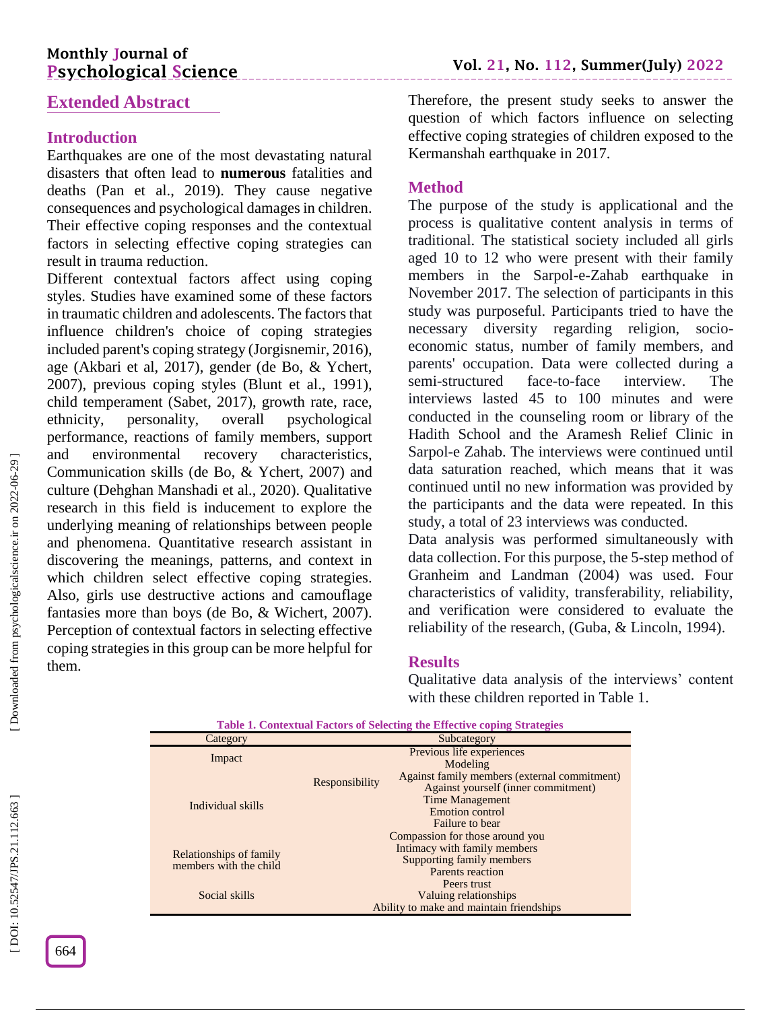# **Monthly Journal of Psychological Science**

# **Extended Abstract**

# **Introduction**

Earthquakes are one of the most devastating natural disasters that often lead to **numerous** fatalities and deaths (Pan et al., 2019). They cause negative consequences and psychological damages in children. Their effective coping responses and the contextual factors in selecting effective coping strategies can result in trauma reduction.

Different contextual factors affect using coping styles. Studies have examined some of these factors in traumatic children and adolescents. The factors that influence children's choice of coping strategies included parent's coping strategy (Jorgisnemir, 2016), age (Akbari et al, 2017), gender (de Bo, & Ychert, 2007), previous coping styles (Blunt et al., 1991), child temperament (Sabet, 2017), growth rate, race, ethnicity, personality, overall psychological performance, reactions of family members, support and environmental recovery characteristics, Communication skills (de Bo, & Ychert, 2007) and culture (Dehghan Manshadi et al., 2020). Qualitative research in this field is inducement to explore the underlying meaning of relationships between people and phenomena. Quantitative research assistant in discovering the meanings, patterns, and context in which children select effective coping strategies. Also, girls use destructive actions and camouflage fantasies more than boys (de Bo, & Wichert, 2007). Perception of contextual factors in selecting effective coping strategies in this group can be more helpful for them.

Therefore, the present study seeks to answer the question of which factors influence on selecting effective coping strategies of children exposed to the Kermanshah earthquake in 2017.

### **Method**

The purpose of the study is applicational and the process is qualitative content analysis in terms of traditional. The statistical society included all girls aged 10 to 12 who were present with their family members in the Sarpol-e-Zahab earthquake in November 2017. The selection of participants in this study was purposeful. Participants tried to have the necessary diversity regarding religion, socio economic status, number of family members, and parents' occupation. Data were collected during a semi -structured face - t o interview. The interviews lasted 45 to 100 minutes and were conducted in the counseling room or library of the Hadith School and the Aramesh Relief Clinic in Sarpol -e Zahab. The interviews were continued until data saturation reached, which means that it was continued until no new information was provided by the participants and the data were repeated. In this study, a total of 23 interviews was conducted.

Data analysis was performed simultaneously with data collection. For this purpose, the 5 -step method of Granheim and Landman (2004) was used. Four characteristics of validity, transferability, reliability, and verification were considered to evaluate the reliability of the research, (Guba, & Lincoln, 1994).

### **Results**

Qualitative data analysis of the interviews' content with these children reported in Table 1.

| <b>Table 1. Contextual Factors of Selecting the Effective coping Strategies</b> |                                                                               |                                                                                                                                                                                        |  |  |  |
|---------------------------------------------------------------------------------|-------------------------------------------------------------------------------|----------------------------------------------------------------------------------------------------------------------------------------------------------------------------------------|--|--|--|
| Category                                                                        | Subcategory                                                                   |                                                                                                                                                                                        |  |  |  |
| Impact                                                                          | Previous life experiences<br>Modeling                                         |                                                                                                                                                                                        |  |  |  |
| Individual skills                                                               | Responsibility                                                                | Against family members (external commitment)<br>Against yourself (inner commitment)<br><b>Time Management</b><br>Emotion control<br>Failure to bear<br>Compassion for those around you |  |  |  |
| Relationships of family<br>members with the child                               | Intimacy with family members<br>Supporting family members<br>Parents reaction |                                                                                                                                                                                        |  |  |  |
| Social skills                                                                   |                                                                               | Peers trust<br>Valuing relationships<br>Ability to make and maintain friendships                                                                                                       |  |  |  |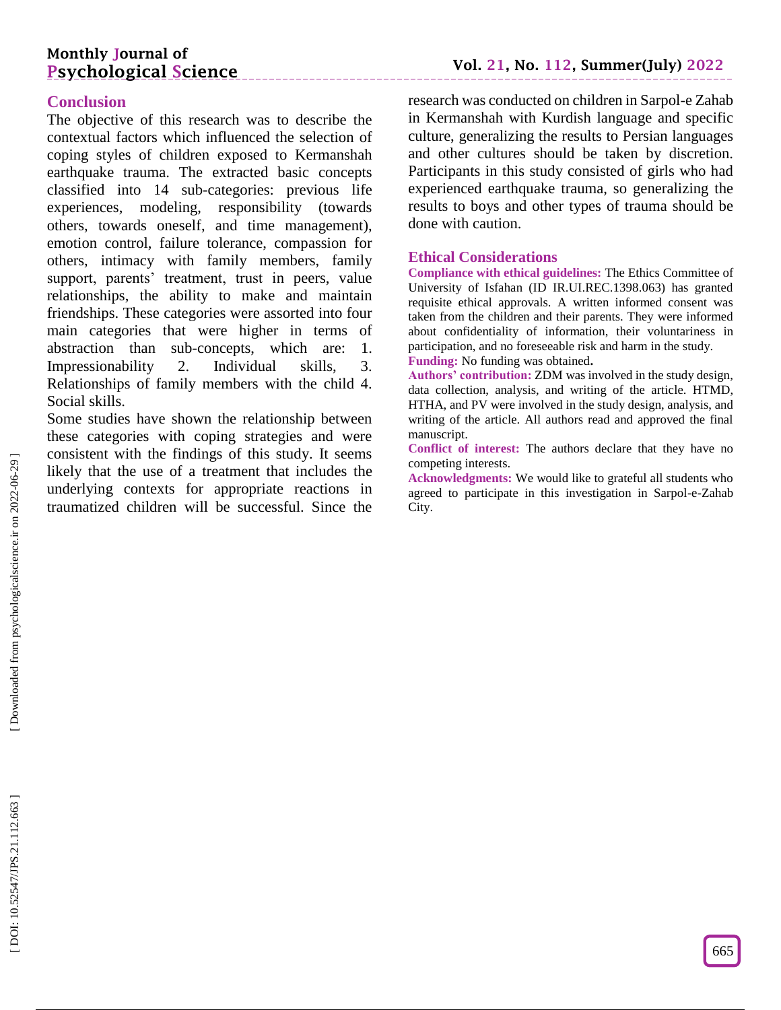# **Monthly Journal of Psychological Science**

# **Conclusion**

The objective of this research was to describe the contextual factors which influenced the selection of coping styles of children exposed to Kermanshah earthquake trauma. The extracted basic concepts classified into 14 sub -categories: previous life experiences, modeling, responsibility (towards others, towards oneself, and time management), emotion control, failure tolerance, compassion for others, intimacy with family members, family support, parents' treatment, trust in peers, value relationships, the ability to make and maintain friendships. These categories were assorted into four main categories that were higher in terms of abstraction than sub -concepts, which are: 1. Impressionability 2. Individual skills, 3. Relationships of family members with the child 4. Social skills.

Some studies have shown the relationship between these categories with coping strategies and were consistent with the findings of this study. It seems likely that the use of a treatment that includes the underlying contexts for appropriate reactions in traumatized children will be successful. Since the

research was conducted on children in Sarpol -e Zahab in Kermanshah with Kurdish language and specific culture, generalizing the results to Persian languages and other cultures should be taken by discretion. Participants in this study consisted of girls who had experienced earthquake trauma, so generalizing the results to boys and other types of trauma should be done with caution.

#### **Ethical Considerations**

**Compliance with ethical guidelines:** The Ethics Committee of University of Isfahan (ID IR.UI.REC.1398.063) has granted requisite ethical approvals. A written informed consent was taken from the children and their parents. They were informed about confidentiality of information, their voluntariness in participation, and no foreseeable risk and harm in the study.

**Funding:** No funding was obtained **.**

**Authors' contribution:** ZDM was involved in the study design, data collection, analysis, and writing of the article. HTMD, HTHA, and PV were involved in the study design, analysis, and writing of the article. All authors read and approved the final manuscript.

**Conflict of interest:** The authors declare that they have no competing interests.

**Acknowledgments:** We would like to grateful all students who agreed to participate in this investigation in Sarpol - e -Zahab City.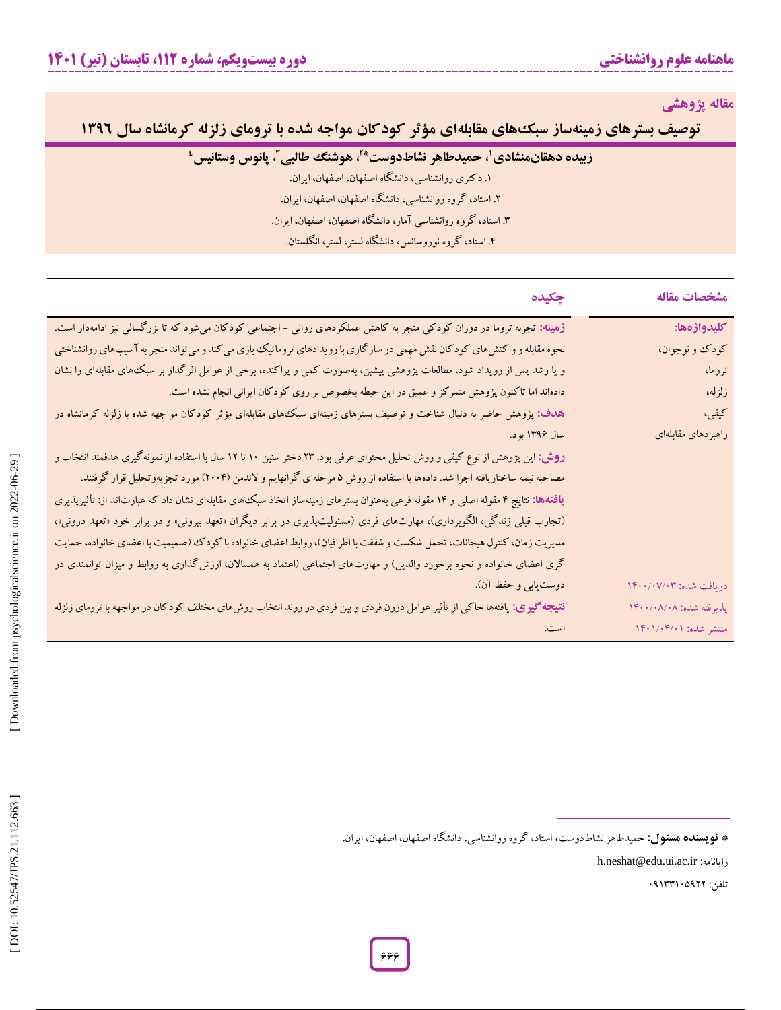**مقاله پژوهشی**

**توصیف بسترهای زمینهساز سبکههای مقابلهای مؤثر کودکان مواجه شده با ترومای زلزله کرمانشاه سال ۱۳۹۶** 

|  |  |  | ِ زبیده دهقانمنشادی'، حمیدطاهر نشاطدوست* <sup>۲</sup> ، هوشن <i>گ ط</i> البی <sup>۳</sup> ، پانوس وستانیس |
|--|--|--|-----------------------------------------------------------------------------------------------------------|
|--|--|--|-----------------------------------------------------------------------------------------------------------|

. دکتری روانشناسی، دانشگاه اصفهان، اصفهان، ایران. **<sup>4</sup>**

. استاد، گروه روانشناسی، دانشگاه اصفهان، اصفهان، ایران. <sup>1</sup>

.3 استاد، گروه روانشناسی آمار، دانشگاه اصفهان، اصفهان، ایران. <sup>2</sup>

. استاد، گروه نوروسانس، دانشگاه لستر، لستر، انگلستان. 4

| چکیده                                                                                                                            | مشخصات مقاله            |
|----------------------------------------------------------------------------------------------------------------------------------|-------------------------|
| زهینه: تجربه تروما در دوران کودکی منجر به کاهش عملکردهای روانی – اجتماعی کودکان میشود که تا بزرگسالی نیز ادامهدار است.           | كليدواژهها:             |
| نحوه مقابله و واکنش های کودکان نقش مهمی در سازگاری با رویدادهای تروماتیک بازی می کند و می تواند منجر به آسیبهای روانشناختی       | کودک و نوجوان،          |
| و یا رشد پس از رویداد شود. مطالعات پژوهشی پیشین، بهصورت کمی و پراکنده، برخی از عوامل اثرگذار بر سبک های مقابلهای را نشان         | تروما،                  |
| دادهاند اما تاکنون پژوهش متمرکز و عمیق در این حیطه بخصوص بر روی کودکان ایرانی انجام نشده است.                                    | زلزله،                  |
| هدف: پژوهش حاضر به دنبال شناخت و توصیف بسترهای زمینهای سبک۱های مقابلهای مؤثر کودکان مواجهه شده با زلزله کرمانشاه در              | کیفی،                   |
| سال ۱۳۹۶ بود.                                                                                                                    | راهبردهاى مقابلهاى      |
| روش: این پژوهش از نوع کیفی و روش تحلیل محتوای عرفی بود. ۲۳ دختر سنین ۱۰ تا ۱۲ سال با استفاده از نمونهگیری هدفمند انتخاب و        |                         |
| مصاحبه نیمه ساختاریافته اجرا شد. دادهها با استفاده از روش ۵ مرحلهای گرانهایم و لاندمن (۲۰۰۴) مورد تجزیهوتحلیل قرار گرفتند.       |                         |
| یافتهها: نتایج ۴ مقوله اصلی و ۱۴ مقوله فرعی بهعنوان بسترهای زمینهساز اتخاذ سبک های مقابلهای نشان داد که عبارتاند از: تأثیرپذیری  |                         |
| (تجارب قبلی زندگی، الگوبرداری)، مهارتهای فردی (مسئولیتپذیری در برابر دیگران «تعهد بیرونی» و در برابر خود «تعهد درونی»،           |                         |
| مدیریت زمان، کنترل هیجانات، تحمل شکست و شفقت با اطرافیان)، روابط اعضای خانواده با کودک (صمیمیت با اعضای خانواده، حمایت           |                         |
| گری اعضای خانواده و نحوه برخورد والدین) و مهارتهای اجتماعی (اعتماد به همسالان، ارزش گذاری به روابط و میزان توانمندی در           |                         |
| دوست یابی و حفظ آن).                                                                                                             | دريافت شده: ١۴٠٠/٠٧/٠٣  |
| <b>نتیجه گیری:</b> یافتهها حاکی از تأثیر عوامل درون فردی و بین فردی در روند انتخاب روشهای مختلف کودکان در مواجهه با ترومای زلزله | پذیرفته شده: ۱۴۰۰/۰۸/۰۸ |
|                                                                                                                                  | منتشر شده: ۱۴۰۱/۰۴/۰۱   |

**نویسنده مسئول:** حمیدطاهرنشاطدوست**،** استاد، گروه روانشناسی، دانشگاه اصفهان، اصفهان، ایران. **\***

h.neshat@edu.ui.ac.ir :رایانامه

تلفن: 03133105322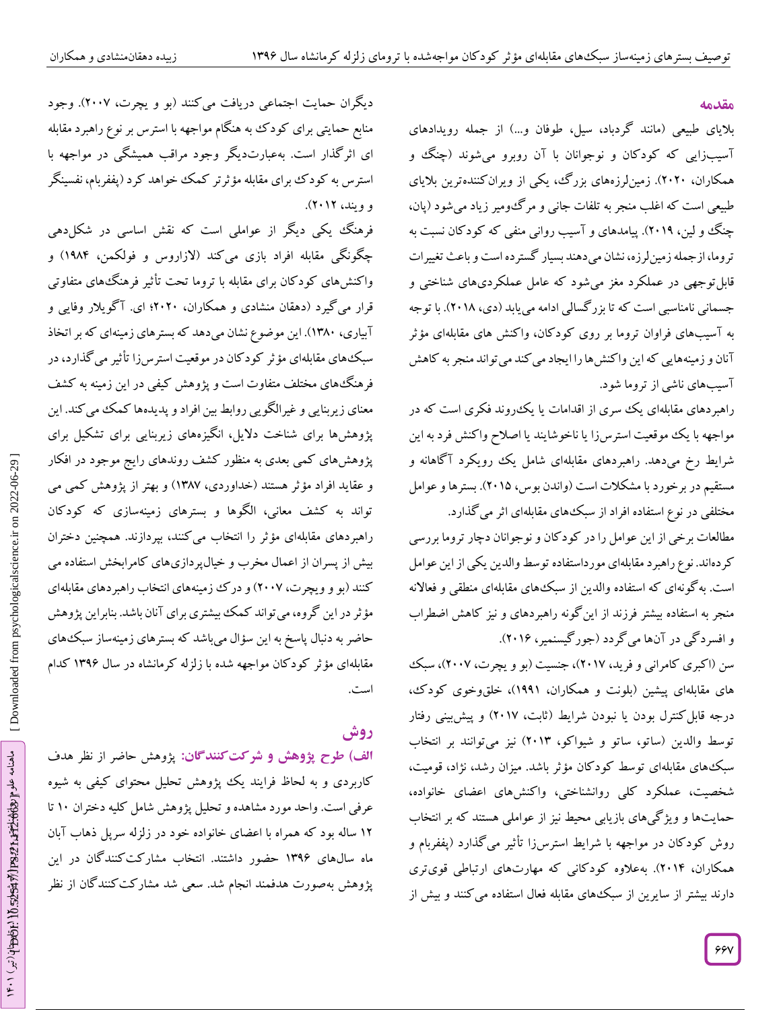#### **مقدمه**

بلایای طبیعی (مانند کردباد، سیل، طوفان و…) از جمله رویدادهای اسیبزایی که کودکان و نوجوانان با آن روبرو میشوند (چنگ و همکاران، ۲۰۲۰). زمین[رزههای بزر ک، یکی از ویران کنندهترین بلایای طبیعی است که اغلب منجر به تلفات جانی و مر ک $\ell$ ومیر زیاد میشود (پان، چنگ و لین، ۲۰۱۹). پیامدهای و اسیب روانی منفی که کود کان نسبت به تروما، ازجمله زمین لرزه، نشان میدهند بسیار کسترده است و باعث تغییرات قابل توجهی در عملکرد مغز میشود که عامل عملکردیهای شناختی و جسمانی نامناسبی است که تا بزر کسالی ادامه میbیابد (دی، ۲۰۱۸). با توجه به اسیبهای فراوان تروما بر روی کودکان، واکنش های مقابلهای مؤثر آنان و زمینههایی که این واکنشها را ایجاد می کند می تواند منجر به کاهش آسیبهای ناشی از تروما شود.

راهبردهای مقابلهای یک سری از اقدامات یا یک روند فکری است که در مواجهه با یک موقعیت استرسiرا یا ناخوشایند یا اصلاح واکنش فرد به این شرایط رخ میدهد. راهبردهای مقابلهای شامل یک رویکرد ا کاهانه و مستقیم در برخورد با مشکلات است (واندن بوس، ۲۰۱۵). بسترها و عوامل مختلفی در نوع استفاده افراد از سبکههای مقابلهای اثر می کذارد.

مطالعات برخی از این عوامل را در کود کان و نوجوانان دچار تروما بررسی کردهاند. نوع راهبرد مقابلهای مورداستفاده توسط والدین یکی از این عوامل است. به کونهای که استفاده والدین از سبک۵های مقابلهای منطقی و فعالانه منجر به استفاده بیشتر فرزند از این کونه راهبردهای و نیز کاهش اضطراب و افسرد کی در آنها می گردد (جور کیسنمیر، ۲۰۱۶).

سن (اکبری کامرانی و فرید، ۲۰۱۷)، جنسیت (بو و یچرت، ۲۰۰۷)، سبک های مقابلهای پیشین (بلونت و همکاران، ۱۹۹۱)، خلقووخوی کودک، درجه قابل کنترل بودن یا نبودن شرایط (تابت، ۲۰۱۷) و پیش بینی رفتار توسط والدین (ساتو، ساتو و شیواکو، ۲۰۱۳) نیز میتوانند بر انتخاب سبک۱های مقابلهای توسط کودکان مؤثر باشد. میزان رشد، نژاد، قومیت، شخصیت، عملکرد کلی روانشناختی، واکنشهای اعضای خانواده، حمایتها و ویژ کیهای بازیابی محیط نیز از عواملی هستند که بر انتخاب روش کودکان در مواجهه با شرایط استرسزا تأثیر می کدارد (پففربام و همکاران، ۲۰۱۴). بهعلاوه کودکانی که مهارتهای ارتباطی قویتری دارند بیشتر از سایرین از سبک۱های مقابله فعال استفاده می کنند و بیش از

دیگران حمایت اجتماعی دریافت می کنند (بو و یچرت، ۲۰۰۷). وجود منابع حمایتی برای کودک به هنکام مواجهه با استرس بر نوع راهبرد مقابله ای اثر کدار است. بهعبارتدیکر وجود مراقب همیشگی در مواجهه با استرس به کود ک برای مقابله مؤثرتر کمک خواهد کرد (پففربام، نفسینگر<br>و ویند، ۲۰۱۲).

فرهنگ یکی دیگر از عواملی است که نقش اساسی در شکل(دهی چکونکی مقابله افراد بازی می کند (لازاروس و فولکمن، ۱۹۸۴) و واکنشهای کودکان برای مقابله با تروما تحت تاثیر فرهنگهای متفاوتی قرار می کیرد (دهقان منشادی و همکاران، ۲۰۲۰؛ ای. آکویلار وفایی و ابیاری، ۱۳۸۰). این موضوع نشان میدهد که بسترهای زمینهای که بر اتخاد سبکهای مقابلهای مؤثر کودکان در موقعیت استرسiزا تاثیر می کذارد، در فرهنگهای مختلف متفاوت است و پژوهش کیفی در این زمینه به کشف معنای زیربنایی و غیرالگویی روابط بین افراد و پدیدهها کمک می کند. این پژوهشها برای شناخت دالیل، انگیزههای زیربنایی برای تشکیل برای پژوهشهای کمی بعدی به منظور کشف روندهای رایج موجود در افکار و عقاید افراد مؤثر هستند (خداوردی، ۱۳۸۷) و بهتر از پژوهش کمی می تواند به کشف معانی، الگوها و بسترهای زمینهسازی که کودکان راهبردهای مقابلهای مؤثر را انتخاب می کنند، بپردازند. همچنین دختران بیش از پسران از اعمال مخرب و خیالپردازیهای کامرابخش استفاده می کنند )بو و ویچرت، 2000( و درک زمینههای انتخاب راهبردهای مقابلهای ثر در این گروه، میتواند کمک بیشتری برای آنان باشد. بنابراین پژوهش مؤ حاضر به دنبال پاسخ به این سؤال میباشد که بسترهای زمینهساز سبک های مقابلهای مؤثر کودکان مواجهه شده با زلزله کرمانشاه در سال 1336 کدام است.

# **روش**

الف) طرح پژوهش و شرکت کنندگان: پژوهش حاضر از نظر هدف کاربردی و به لحاظ فرایند یک پژوهش تحلیل محتوای کیفی به شیوه عرفی است. واحد مورد مشاهده و تحلیل پژوهش شامل کلیه دختران ۱۰ تا ۱۲ ساله بود که همراه با اعضای خانواده خود در زلزله سرپل دهاب آبان ماه سال@ای ۱۳۹۶ حضور داشتند. انتخاب مشارکت کنندگان در این پژوهش بهصورت هدفمند انجام شد. سعی شد مشار کت کنند کان از نظر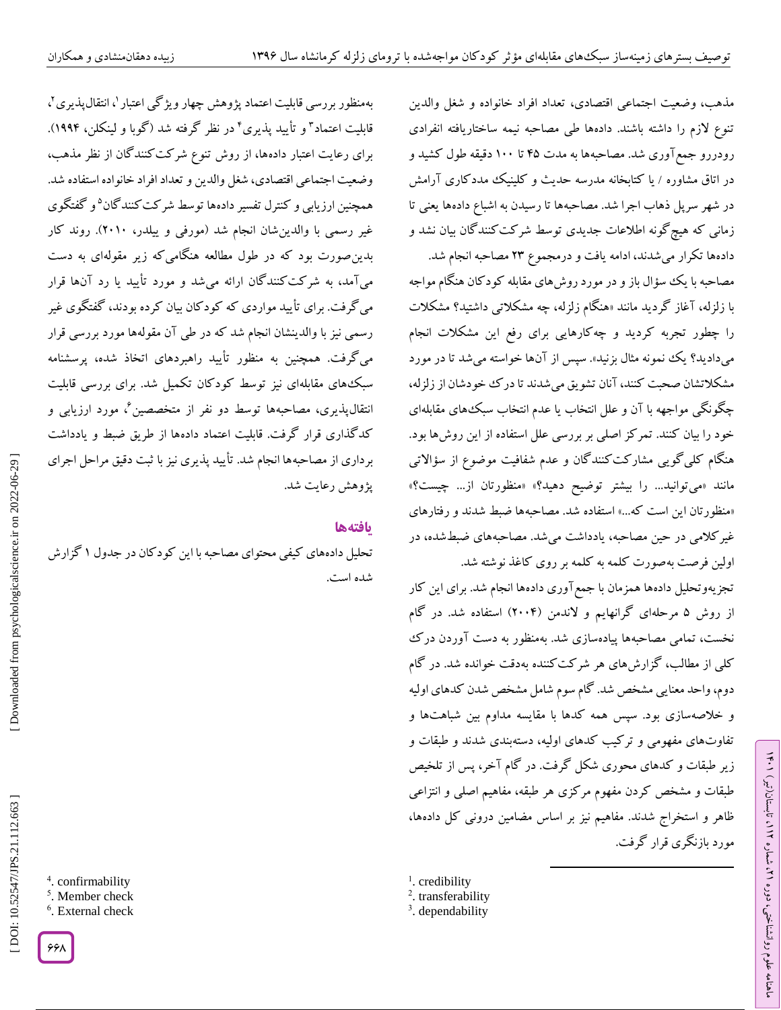مدهب، وضعیت اجتماعی اقتصادی، تعداد افراد خانواده و شغل والدین تنوع لازم را داشته باشند. دادهها طی مصاحبه نیمه ساختاریافته انفرادی رودررو جمع اوری شد. مصاحبهها به مدت ۲۵ تا ۱۰۰ دقیقه طول کشید و در اتاق مشاوره / یا کتابخانه مدرسه حدیث و کلینیک مدد کاری آرامش در شهر سرپل ذهاب اجرا شد. مصاحبهها تا رسیدن به اشباع دادهها یعنی تا زمانی که هیچ گونه اطلاعات جدیدی توسط شر کت کنند کان بیان نشد و

دادهها تکرار می شدند، ادامه یافت و درمجموع ۲۳ مصاحبه انجام شد. مصاحبه با یک سؤال باز و در مورد روشهای مقابله کود کان هنگام مواجه با زلزله، آغاز کردید مانند «هنگام زلزله، چه مشکلاتی داشتید؟ مشکلات را چطور تجربه کردید و چه کارهایی برای رفع این مشکلات انجام میدادید؟ یک نمونه مثال بزنید». سپس از آنها خواسته میشد تا در مورد مشکلاتشان صحبت کنند، آنان تشویق میشدند تا در ک خحودشان از زلزله، چگونگی مواجهه با آن و علل انتخاب یا عدم انتخاب سبک&ای مقابلهای خود را بیان کنند. تمر کز اصلی بر بررسی علل استفاده از این روشها بود. هنگام کلی کویی مشارکت کنندگان و عدم شفافیت موضوع از سؤالاتی مانند «می־توانید… را بیشتر توضیح دهید؟» «منظورتان از… چیست؟» «منظورتان این است که...» استفاده شد. مصاحبهها ضبط شدند و رفتارهای غیر کلامی در حین مصاحبه، یادداشت می شد. مصاحبههای ضبط شده، در اولین فرصت بهصورت کلمه به کلمه بر روی کاغذ نوشته شد.

تجزیهوتحلیل دادهها همزمان با جمع اوری دادهها انجام شد. برای این کار از روش ۵ مرحلهای گرانهایم و لاندمن (۲۰۰۴) استفاده شد. در گام نخست، تمامی مصاحبهها پیادهسازی شد. بهمنظور به دست آوردن در ک کلی از مطالب، گزارشهای هر شر کت کننده بهدقت خوانده شد. در کام دوم، واحد معنایی مشخص شد. کام سوم شامل مشخص شدن کدهای اولیه و خلاصهسازی بود. سپس همه کدها با مقایسه مداوم بین شباهتها و تفاوتهای مفهومی و ترکیب کدهای اولیه، دستهبندی شدند و طبقات و زیر طبقات و کدهای محوری شکل کرفت. در کام آخر، پس از تلخیص طبقات و مشخص کردن مفهوم مرکزی هر طبقه، مفاهیم اصلی و انتزاعی ظاهر و استخراج شدند. مفاهیم نیز بر اساس مضامین درونی کل دادهها، مورد بازنگری قرار کرفت.

 $\overline{\phantom{a}}$ 

<sup>1</sup>. credibility

<sup>2</sup>. transferability

<sup>3</sup>. dependability

بهمنظور بررسی قابلیت اعتماد پژوهش چهار ویژگی اعتبار `، انتقال $\mu$ نیری `، قابلیت اعتماد<sup>۳</sup> و تأیید پذیری<sup>۲</sup> در نظر گرفته شد (گوبا و لینکلن، ۱۹۹۴). برای رعایت اعتبار دادهها، از روش تنوع شرکتکنندگان از نظر مذهب، وضعیت اجتماعی اقتصادی، شغل والدین و تعداد افراد خانواده استفاده شد. همچنین ارزیابی و کنترل تفسیر دادهها توسط شرکت کنندگان<sup>۵</sup>و گفتگوی غیر رسمی با والدینشان انجام شد )مورفی و ییلدر، 2010(. روند کار بدینصورت بود که در طول مطالعه هنگامیکه زیر مقولهای به دست میآمد، به شرکتکنندگان ارائه میشد و مورد تأیید یا رد آنها قرار میگرفت. برای تأیید مواردی که کودکان بیان کرده بودند، گفتگوی غیر رسمی نیز با والدینشان انجام شد که در طی آن مقولهها مورد بررسی قرار میگرفت. همچنین به منظور تأیید راهبردهای اتخاذ شده، پرسشنامه سبکهای مقابلهای نیز توسط کودکان تکمیل شد. برای بررسی قابلیت انتقالپذیری، مصاحبهها توسط دو نفر از متخصصین<sup>ع</sup>، مورد ارزیابی و کدگذاری قرار گرفت. قابلیت اعتماد دادهها از طریق ضبط و یادداشت برداری از مصاحبهها انجام شد. تأیید پذیری نیز با ثبت دقیق مراحل اجرای پژوهش رعایت شد.

### **یافتهها**

دادههای کیفی محتوای مصاحبه با این کود کان در جدول ۱ کزارش شده است.

4 . confirmability

5 . Member check 6 . External check

۶۶۸

DOI: 10.52547/JPS.21.112.663

ラン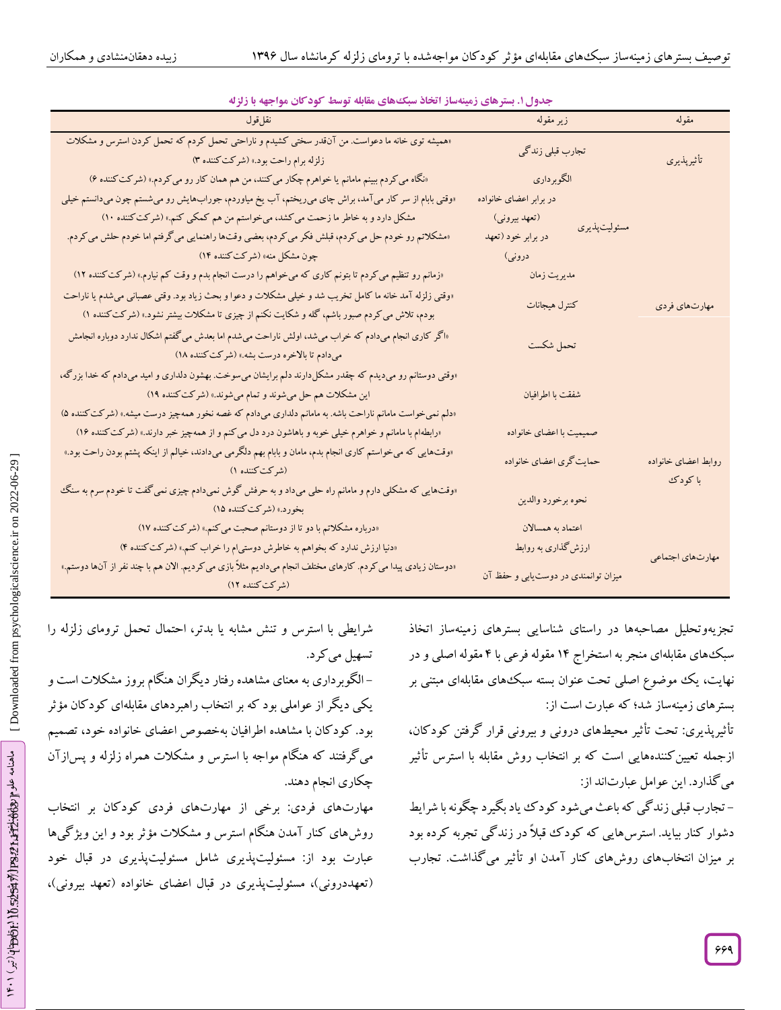| بعاري، بشريعي ربية شار ، بعث شبكتي سابد الرشف الرباعي بي ابن الرباعي المراجع<br>نقل قول                                                                                                                                                                                       | زیر مقوله                           | مقوله               |
|-------------------------------------------------------------------------------------------------------------------------------------------------------------------------------------------------------------------------------------------------------------------------------|-------------------------------------|---------------------|
| «همیشه توی خانه ما دعواست. من آنقدر سختی کشیدم و ناراحتی تحمل کردم که تحمل کردن استرس و مشکلات<br>تجارب قبلی زندگی<br>زلزله برام راحت بود.» (شركت كننده ۳)                                                                                                                    |                                     | تأثيرپذيري          |
| «نگاه می کردم ببینم مامانم یا خواهرم چکار می کنند، من هم همان کار رو می کردم.» (شرکت کننده ۶)                                                                                                                                                                                 | الگوبرداري                          |                     |
| «وقتی بابام از سر کار میآمد، براش چای می(یختم، آب یخ میاوردم، جورابهایش رو میشستم چون میدانستم خیلی                                                                                                                                                                           | در برابر اعضای خانواده              |                     |
| مشکل دارد و به خاطر ما زحمت می کشد، میخواستم من هم کمکی کنم.» (شرکت کننده ۱۰)                                                                                                                                                                                                 | (تعهد بيروني)<br>مسئوليت پذيري      |                     |
| «مشکلاتم رو خودم حل می کردم، قبلش فکر می کردم، بعضی وقتها راهنمایی می گرفتم اما خودم حلش می کردم.                                                                                                                                                                             | در برابر خود (تعهد                  |                     |
| چون مشکل منه» (شرکت کننده ۱۴)                                                                                                                                                                                                                                                 | دروني)                              |                     |
| «زمانم رو تنظیم می کردم تا بتونم کاری که میخواهم را درست انجام بدم و وقت کم نیارم.» (شرکت کننده ۱۲)                                                                                                                                                                           | مديريت زمان                         |                     |
| «وقتی زلزله آمد خانه ما کامل تخریب شد و خیلی مشکلات و دعوا و بحث زیاد بود. وقتی عصبانی می شدم یا ناراحت<br>كنترل هيجانات<br>بودم، تلاش می کردم صبور باشم، گله و شکایت نکنم از چیزی تا مشکلات بیشتر نشود.» (شرکت کننده ۱)                                                      |                                     |                     |
| «اگر کاری انجام میدادم که خراب میشد، اولش ناراحت میشدم اما بعدش میگفتم اشکال ندارد دوباره انجامش<br>تحمل شكست<br>میدادم تا بالاخره درست بشه.» (شرکت کننده ۱۸)                                                                                                                 |                                     |                     |
| «وقتی دوستانم رو میدیدم که چقدر مشکلدارند دلم برایشان میسوخت. بهشون دلداری و امید میدادم که خدا بزرگه،<br>این مشکلات هم حل میشوند و تمام میشوند.» (شرکت کننده ۱۹)<br>«دلم نمی خواست مامانم ناراحت باشه. به مامانم دلداری میدادم که غصه نخور همهچیز درست میشه.» (شرکت کننده ۵) | شفقت با اطرافيان                    |                     |
| «رابطه۱م با مامانم و خواهرم خیلی خوبه و باهاشون درد دل می کنم و از همهچیز خبر دارند.» (شرکت کننده ۱۶)                                                                                                                                                                         | صمیمیت با اعضای خانواده             |                     |
| «وقتهایی که میخواستم کاری انجام بدم، مامان و بابام بهم دلگرمی میدادند، خیالم از اینکه پشتم بودن راحت بود.»<br>حمایت گری اعضای خانواده<br>(شركتكننده ۱)                                                                                                                        |                                     | روابط اعضاى خانواده |
| «وقتهایی که مشکلی دارم و مامانم راه حلی میداد و به حرفش گوش نمیدادم چیزی نمیگفت تا خودم سرم به سنگ<br>بخورد.» (شرکتکننده ۱۵)                                                                                                                                                  | نحوه برخورد والدين                  | با کودک             |
| «درباره مشکلاتم با دو تا از دوستانم صحبت می کنم.» (شرکت کننده ۱۷)                                                                                                                                                                                                             | اعتماد به همسالان                   |                     |
| «دنیا ارزش ندارد که بخواهم به خاطرش دوستی م را خراب کنم.» (شرکت کننده ۴)                                                                                                                                                                                                      | ارزش گذاری به روابط                 | مهارتهاى اجتماعي    |
| «دوستان زیادی پیدا می کردم. کارهای مختلف انجام میدادیم مثلاً بازی می کردیم. الان هم با چند نفر از آنها دوستم.»<br>(شركت كننده ١٢)                                                                                                                                             | میزان توانمندی در دوستیابی و حفظ آن |                     |

جدول ۱. بسترهای زمینهساز آتخاذ سبک های مقابله توسط کودکان مواجهه با زلزله

تجزیهوتحلیل مصاحبهها در راستای شناسایی بسترهای زمینهساز اتخاد سبکهای مقابلهای منجر به استخراج ۱۴ مقوله فرعی با ۴ مقوله اصلی و در نهایت، یک موضوع اصلی تحت عنوان بسته سبکههای مقابلهای مبتنی بر زمینهساز شد؛ که عبارت است از: بسترهای

تأثیرپذیری: تحت تأثیر محیطهای درونی و بیرونی قرار کرفتن کودکان، کنندههایی است که بر انتخاب روش مقابله با استرس تأثیر ازجمله تعیین می کذارد. این عوامل عبارتاند از:

– تجارب قبلی زند کی که باعث میشود کود ک یاد بکیرد چکونه با شرایط دشوار کنار بیاید. استرسهایی که کودک قبلاً در زندگی تجربه کرده بود بر میزان انتخابهای روشهای کنار آمدن او تأثیر می کداشت. تجارب

با استرس و تنش مشابه یا بدتر، احتمال تحمل ترومای زلزله را تسهیل می کرد.

– الکوبرداری به معنای مشاهده رفتار دیگران هنگام بروز مشکلات است و یکی دیگر از عواملی بود که بر انتخاب راهبردهای مقابلهای کود کان مؤتر بود. کودکان با مشاهده اطرافیان بهخصوص اعضای خانواده خود، تصمیم می گرفتند که هنگام مواجه با استرس و مشکلات همراه زلزله و پس(ز آن چکاری انجام دهند.

مهارتهای فردی: برخی از مهارتهای فردی کودکان بر انتخاب روشهای کنار آمدن هنگام استرس و مشکلات مؤثر بود و این ویژ کیها عبارت بود از: مسئولیتپدیری شامل مسئولیتپدیری در قبال خود (تعهددرونی)، مسئولیتپذیری در قبال اعضای خانواده (تعهد بیرونی)،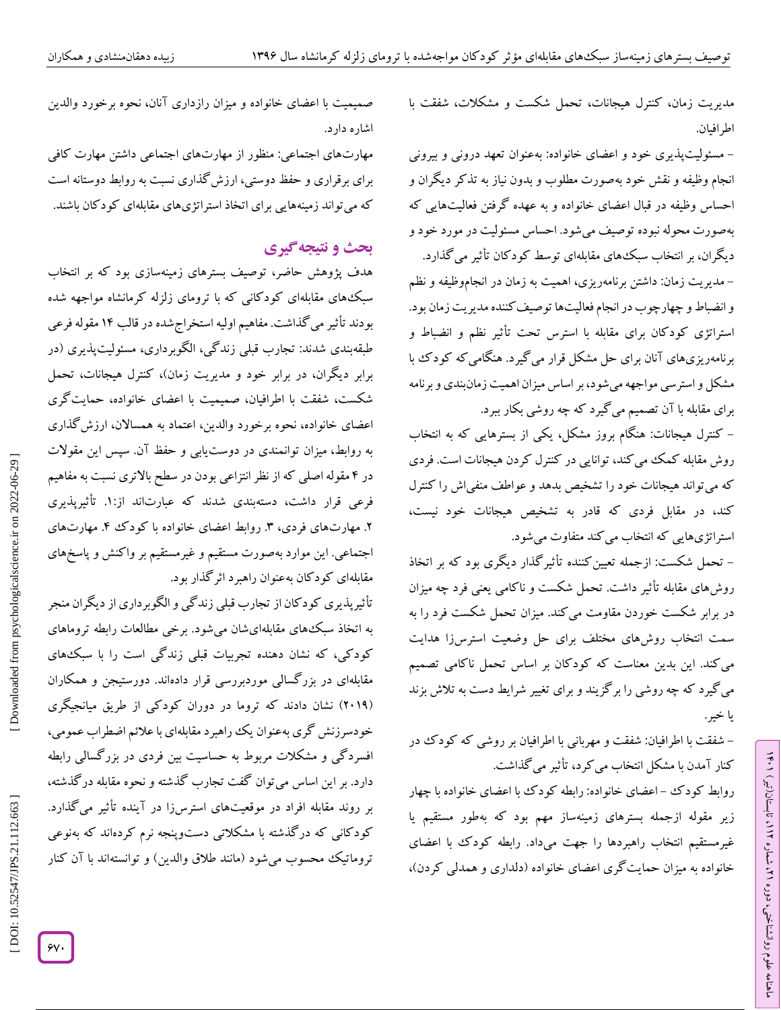کنترل هیجانات، تحمل شکست و مشکالت، شفقت با زمان، یت اطرافیان.

– مسئولیتپدیری خود و اعضای خانواده: بهعنوان تعهد درونی و بیرونی انجام وظیفه و نقش خود بهصورت مطلوب و بدون نیاز به تذکر دیگران و احساس وظیفه در قبال اعضای خانواده و به عهده کرفتن فعالیتهایی که می شود. احساس مسئولیت در مورد خود و دیگران، بر انتخاب سبک های مقابلهای توسط کودکان تأثیر می گذارد.

– مدیریت زمان: داشتن برنامهریزی، اهمیت به زمان در انجاموظیفه و نظم و انضباط و چهارچوب در انجام فعالیتها توصیف کننده مدیریت زمان بود. استراتژی کودکان برای مقابله با استرس تحت تأثیر نظم و انضباط و برنامهریزیهای آنان برای حل مشکل قرار می کیرد. هنگامی که کود ک با مشکل و استرسی مواجهه میشود، بر اساس میزان اهمیت زمانبندی و برنامه برای مقابله با آن تصمیم می کیرد که چه روشی بکار ببرد.

– کنترل هیجانات: هنگام بروز مشکل، یکی از بسترهایی که به انتخاب روش مقابله کمک می کند، توانایی در کنترل کردن هیجانات است. فردی که میتواند هیجانات خود را تشخیص بدهد و عواطف منفی\ش را کنترل هیجانات خود نیست، که قادر به تشخیص استراتژیهایی که انتخاب میکند متفاوت میشود.

– تحمل شکست: ازجمله تعیین کننده تاثیر کذار دیکری بود که بر اتخاذ روشهای مقابله تأثیر داشت. تحمل شکست و ناکامی یعنی فرد چه میزان در برابر شکست خوردن مقاومت می کند. میزان تحمل شکست فرد را به سمت انتخاب روشهای مختلف برای حل وضعیت استرسiرا هدایت می کند. این بدین معناست که کودکان بر اساس تحمل ناکامی تصمیم می کیرد که چه روشی را بر کزیند و برای تغییر شرایط دست به تلاش بزند<br>یا خیر.

شفقت با اطرافیان: شفقت و مهربانی با اطرافیان بر روشی که کودک در کنار آمدن با مشکل انتخاب میکرد، تأثیر میگذاشت. -

ラン

، تابستان)تیر( 112

، شماره 21

ماهنامه علوم روانشناختی، دوره

روابط کود ک –اعضای خانواده: رابطه کودک با اعضای خانواده با چهار زیر مقوله ازجمله بسترهای زمینهساز مهم بود که بهطور مستقیم یا غیرمستقیم انتخاب راهبردها را جهت میداد. رابطه کودک با اعضای خانواده به میزان حمایت کری اعضای خانواده (دلداری و همدلی کردن)،

صمیمیت با اعضای خانواده و میزان رازداری آنان، نحوه برخورد والدین اشاره دارد.

مهارتهای اجتماعی: منظور از مهارتهای اجتماعی داشتن مهارت کافی برای برقراری و حفظ دوستی، ارزش کداری نسبت به روابط دوستانه است که می تواند زمینههایی برای اتخاذ استراتژیهای مقابلهای کودکان باشند.

# **ی نتیجهگیر بحث و**

هدف پژوهش حاضر، توصیف بسترهای زمینهسازی بود که بر انتخاب سبکهای مقابلهای کودکانی که با ترومای زلزله کرمانشاه مواجهه شده بودند تأثیر می کداشت. مفاهیم اولیه استخراج شده در قالب ۱۴ مقوله فرعی طبقهبندی شدند: تجارب قبلی زند کی، الگوبرداری، مسئولیتپدیری (در برابر دیگران، در برابر خود و مدیریت زمان)، کنترل هیجانات، تحمل شکست، شفقت با اطرافیان، صمیمیت با اعضای خانواده، حمایت کری اعضای خانواده، نحوه برخورد والدین، اعتماد به همسالان، ارزش کداری به روابط، میزان توانمندی در دوست $\mathfrak{g}$  و حفظ آن. سپس این مقولات در ۴ مقوله اصلی که از نظر انتزاعی بودن در سطح بالاتری نسبت به مفاهیم فرعی قرار داشت، دستهبندی شدند که عبارتاند از:۱. تاتیرپدیری ۲. مهارتهای فردی، ۳. روابط اعضای خانواده با کودک ۴. مهارتهای اجتماعی. این موارد بهصورت مستقیم و غیرمستقیم بر واکنش و پاسخهای مقابلهای کودکان بهعنوان راهبرد اثر کدار بود.

تأثیرپذیری کودکان از تجارب قبلی زندگی و الکوبرداری از دیگران منجر به اتخاذ سبکههای مقابلهایشان میشود. برخی مطالعات رابطه تروماهای کودکی، که نشان دهنده تجربیات قبلی زندگی است را با سبک&ای مقابلهای در بزر کسالی موردبررسی قرار دادهاند. دورستیجن و همکاران (۲۰۱۹) نشان دادند که تروما در دوران کودکی از طریق میانجیکری خودسرزنش کری بهعنوان یک راهبرد مقابلهای با علائم اضطراب عمومی، افسرد کی و مشکلات مربوط به حساسیت بین فردی در بزر کسالی رابطه دارد. بر این اساس می توان کفت تجارب کذشته و نحوه مقابله در کذشته، بر روند مقابله افراد در موقعیتهای استرسزا در آینده تأثیر می کدارد. کود کانی که در کدشته با مشکلاتی دستوپنجه نرم کردهاند که بهنوعی تروماتیک محسوب می شود (مانند طلاق والدین) و توانستهاند با آن کنار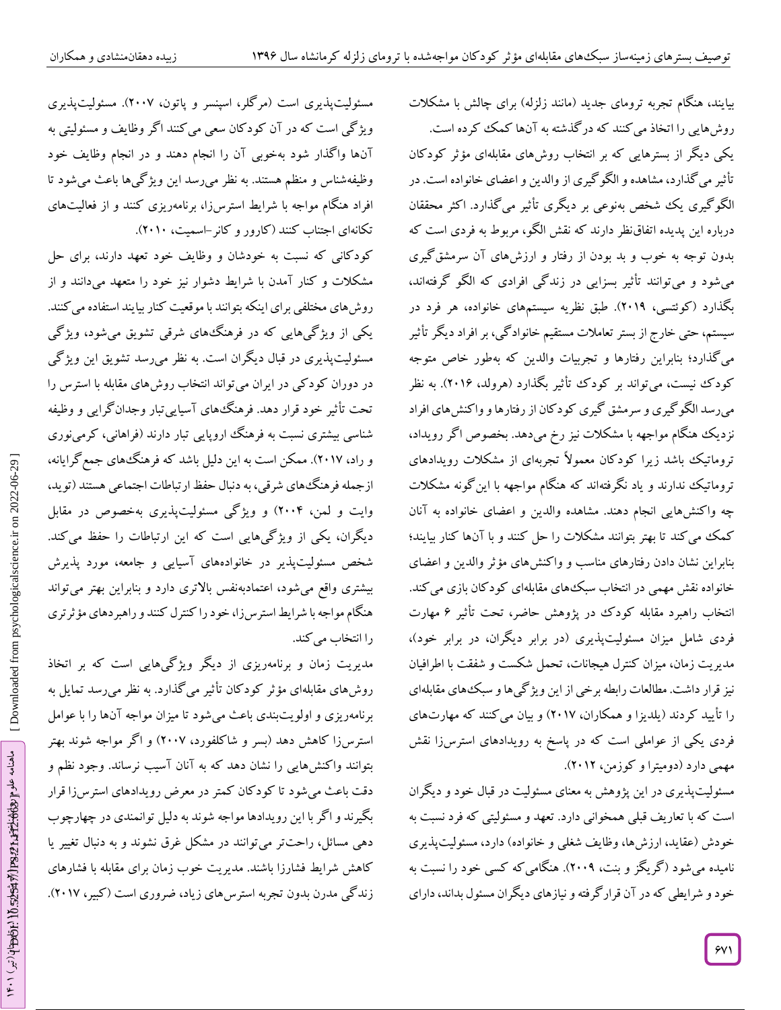مسئولیتپدیری است (مرکلر، اسپنسر و پاتون، ۲۰۰۷). مسئولیتپدیری ویژ کی است که در آن کودکان سعی می کنند اکر وظایف و مسئولیتی به آنها واکدار شود بهخوبی آن را انجام دهند و در انجام وظایف خود وظیفهشناس و منظم هستند. به نظر میرسد این ویژ کیها باعث می شود تا افراد هنگام مواجه با شرایط استرسزا، برنامهریزی کنند و از فعالیتهای تکانهای اجتناب کنند (کارور و کانر-اسمیت، ۲۰۱۰).

کودکانی که نسبت به خودشان و وظایف خود تعهد دارند، برای حل مشکلات و کنار آمدن با شرایط دشوار نیز خود را متعهد میدانند و از روش،های مختلفی برای اینکه بتوانند با موقعیت کنار بیایند استفاده می کنند. یکی از ویژ کیهایی که در فرهنگهای شرقی تشویق میشود، ویژ کی مسئولیتپذیری در قبال دیگران است. به نظر میرسد تشویق این ویژگی در دوران کودکی در ایران میتواند انتخاب روشهای مقابله با استرس را تحت تأثیر خود قرار دهد. فرهنگهای آسیایی تبار وجدان کرایی و وظیفه شناسی بیشتری نسبت به فرهنگ اروپایی تبار دارند (فراهانی، کرمینوری و راد، ۲۰۱۷). ممکن است به این دلیل باشد که فرهنگهای جمع گرایانه، ازجمله فرهنگهای شرقی، به دنبال حفظ ارتباطات اجتماعی هستند (توید، وایت و لمن، ۲۰۰۴) و ویژگی مسئولیتپدیری بهخصوص در مقابل دیگران، یکی از ویژگیهایی است که این ارتباطات را حفظ می کند. شخص مسئولیتپذیر در خانوادههای اسیایی و جامعه، مورد پذیرش بیشتری واقع می شود، اعتمادبهنفس بالاتری دارد و بنابراین بهتر می تواند استرسزا، خود را کنترل کنند و راهبردهای مؤثرتری را انتخاب می کند.

مدیریت زمان و برنامهریزی از دیگر ویژگیهایی است که بر اتخاد روشهای مقابلهای مؤثر کودکان تاثیر می کدارد. به نظر میرسد تمایل به برنامهریزی و اولویتبندی باعث میشود تا میزان مواجه آنها را با عوامل استرسزا کاهش دهد )بسر و شاکلفورد، 2000( و اگر مواجه شوند بهتر بتوانند واکنشهایی را نشان دهد که به آنان آسیب نرساند. وجود نظم و دقت باعث می شود تا کودکان کمتر در معرض رویدادهای استرسiا قرار بکیرند و اگر با این رویدادها مواجه شوند به دلیل توانمندی در چهارچوب دهی مسائل، راحتتر می توانند در مشکل غرق نشوند و به دنبال تغییر یا کاهش شرایط فشارزا باشند. مدیریت خوب زمان برای مقابله با فشارهای زندگی مدرن بدون تجربه استرس۵ای زیاد، ضروری است (کبیر، ۲۰۱۷).

بیایند، هنگام تجربه ترومای جدید (مانند زلزله) برای چالش با مشکلات روشهایی را اتخاذ می کنند که در کدشته به آنها کمک کرده است. یکی دیگر از بسترهایی که بر انتخاب روشهای مقابلهای مؤتر کودکان تأثیر می کدارد، مشاهده و الکو گیری از والدین و اعضای خانواده است. در الکو کیری یک شخص بەنوعی بر دیگری تاثیر می کذارد. اکثر محققان پدیده اتفاقنظر دارند که نقش الگو، مربوط به فردی است که درباره این بدون توجه به خوب و بد بودن از رفتار و ارزشهای آن سرمشق گیری میشود و می توانند تاثیر بسزایی در زندگی افرادی که الکو گرفتهاند، بگذارد (کوئتسی، ۲۰۱۹). طبق نظریه سیستمهای خانواده، هر فرد در سیستم، حتی خارج از بستر تعاملات مستقیم خانواد کی، بر افراد دیگر تأثیر می کدارد؛ بنابراین رفتارها و تجربیات والدین که بهطور خاص متوجه کودک نیست، می تواند بر کودک تاثیر بکدارد (هرولد، ۲۰۱۶). به نظر میرسد الکو کیری و سرمشق کیری کود کان از رفتارها و واکنشهای افراد نزدیک هنگام مواجهه با مشکلات نیز رخ میدهد. بخصوص اگر رویداد، تروماتیک باشد زیرا کودکان معمولاً تجربهای از مشکلات رویدادهای تروماتیک ندارند و یاد نکرفتهاند که هنگام مواجهه با این کونه مشکلات چه واکنشهایی انجام دهند. مشاهده والدین و اعضای خانواده به آنان کمک می کند تا بهتر بتوانند مشکلات را حل کنند و با آنها کنار بیایند؛ نشان دادن رفتارهای مناسب و واکنشهای مؤثر والدین و اعضای خانواده نقش مهمی در انتخاب سبک های مقابلهای کودکان بازی میکند. انتخاب راهبرد مقابله کودک در پژوهش حاضر، تحت تاثیر ۶ مهارت فردی شامل میزان مسئولیتپذیری (در برابر دیگران، در برابر خود)، مدیریت زمان، میزان کنترل هیجانات، تحمل شکست و شفقت با اطرافیان نیز قرار داشت. مطالعات رابطه برخی از این ویژ کیها و سبک های مقابلهای را تایید کردند (یلدیزا و همکاران، ۲۰۱۷) و بیان می کنند که مهارتهای فردی یکی از عواملی است که در پاسخ به رویدادهای استرسزا نقش مهمی دارد (دومیترا و کوزمن، ۲۰۱۲).

مسئولیتپذیری در این پژوهش به معنای مسئولیت در قبال خود و دیگران است که با تعاریف قبلی همخوانی دارد. تعهد و مسئولیتی که فرد نسبت به خودش (عقاید، ارزشها، وظایف شغلی و خانواده) دارد، مسئولیتپدیری نامیده میشود (کریکز و بنت، ۲۰۰۹). هنگامی که کسی خود را نسبت به خود و شرایطی که در آن قرار کرفته و نیازهای دیگران مسئول بداند، دارای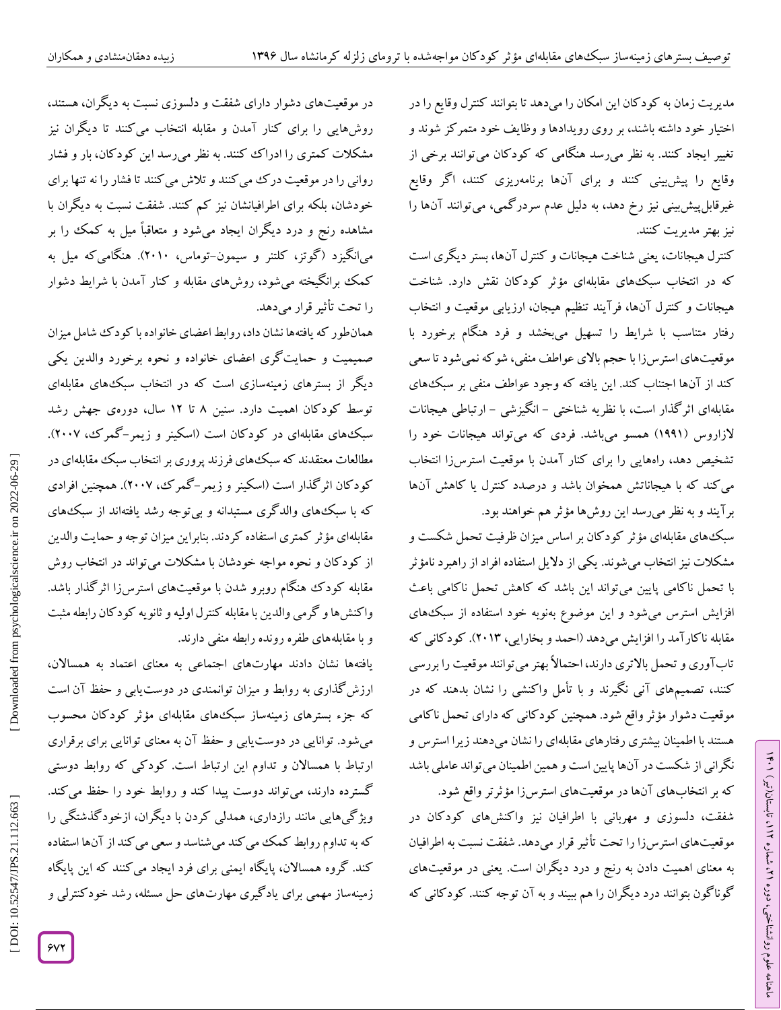مدیریت زمان به کود کان این امکان را میدهد تا بتوانند کنترل وقایع را در اختیار خود داشته باشند، بر روی رویدادها و وظایف خود متمر کز شوند و تغییر ایجاد کنند. به نظر میرسد هنگامی که کودکان میتوانند برخی از وقایع را پیش.بینی کنند و برای آنها برنامهریزی کنند، اکر وقایع غیرقابل پیش بینی نیز رخ دهد، به دلیل عدم سردر کمی، می توانند آنها را نیز بهتر مدیریت کنند.

کنترل هیجانات، یعنی شناخت هیجانات و کنترل آنها، بستر دیگری است که در انتخاب سبکهای مقابلهای مؤثر کودکان نقش دارد. شناخت هیجانات و کنترل آنها، فرآیند تنظیم هیجان، ارزیابی موقعیت و انتخاب رفتار متناسب با شرایط را تسهیل میبخشد و فرد هنگام برخورد با موقعیتهای استرسiزا با حجم بالای عواطف منفی، شو که نمی شود تا سعی کند از آنها اجتناب کند. این یافته که وجود عواطف منفی بر سبک های مقابلهای اثر کدار است، با نظریه شناختی – انگیزشی – ارتباطی هیجانات لازاروس (۱۹۹۱) همسو میباشد. فردی که میتواند هیجانات خود را تشخیص دهد، راههایی را برای کنار آمدن با موقعیت استرسزا انتخاب می کند که با هیجاناتش همخوان باشد و درصدد کنترل یا کاهش آنها بر آیند و به نظر میرسد این روشها مؤثر هم خواهند بود.

سبکهای مقابلهای مؤثر کود کان بر اساس میزان ظرفیت تحمل شکست و مشکلات نیز انتخاب می شوند. یکی از دلایل استفاده افراد از راهبرد نامؤثر با تحمل ناکامی پایین می تواند این باشد که کاهش تحمل ناکامی باعث افزایش استرس میشود و این موضوع بهنوبه خود استفاده از سبکههای مقابله ناکار آمد را افزایش میدهد (احمد و بخارایی، ۲۰۱۳). کود کانی که تاب اوری و تحمل بالاتری دارند، احتمالاً بهتر می توانند موقعیت را بررسی کنند، تصمیمهای آنی نکیرند و با تامل واکنشی را نشان بدهند که در موقعیت دشوار مؤثر واقع شود. همچنین کودکانی که دارای تحمل ناکامی هستند با اطمینان بیشتری رفتارهای مقابلهای را نشان میدهند زیرا استرس و نگرانی از شکست در آنها پایین است و همین اطمینان می تواند عاملی باشد که بر انتخابهای آنها در موقعیتهای استرسزا مؤثرتر واقع شود.

شفقت، دلسوزی و مهربانی با اطرافیان نیز واکنشهای کودکان در موقعیتهای استرس زا را تحت تأثیر قرار میدهد. شفقت نسبت به اطرافیان به معنای اهمیت دادن به رنج و درد دیگران است. یعنی در موقعیتهای که گوناگون بتوانند درد دیگران را هم ببیند و به آن توجه کنند. کودکانی ラン

، تابستان)تیر( 112

، شماره 21

ماهنامه علوم روانشناختی، دوره

در موقعیتهای دشوار دارای شفقت و دلسوزی نسبت به دیگران، هستند، روشهایی را برای کنار آمدن و مقابله انتخاب می کنند تا دیگران نیز مشکلات کمتری را ادراک کنند. به نظر میرسد این کودکان، بار و فشار روانی را در موقعیت در ک می کنند و تلاش می کنند تا فشار را نه تنها برای خودشان، بلکه برای اطرافیانشان نیز کم کنند. شفقت نسبت به دیگران با مشاهده رنج و درد دیگران ایجاد میشود و متعاقباً میل به کمک را بر میانگیزد (کوتز، کلتنر و سیمون-توماس، ۲۰۱۰). هنگامی که میل به شود، روشهای مقابله و کنار آمدن با شرایط دشوار را تحت تأثیر قرار میدهد.

همان طور که یافتهها نشان داد، روابط اعضای خانواده با کود ک شامل میزان صمیمیت و حمایت کری اعضای خانواده و نحوه برخورد والدین یکی دیکر از بسترهای زمینهسازی است که در انتخاب سبکههای مقابلهای توسط کودکان اهمیت دارد. سنین ۸ تا ۱۲ سال، دورهی جهش رشد سبکهای مقابلهای در کودکان است (اسکینر و زیمر-کمرک، ۲۰۰۷). مطالعات معتقدند که سبک های فرزند پروری بر انتخاب سبک مقابلهای در کودکان اثر کذار است (اسکینر و زیمر–کمر ک، ۲۰۰۷). همچنین افرادی که با سبکههای والد کری مستبدانه و بی توجه رشد یافتهاند از سبکههای مقابلهای مؤثر کمتری استفاده کردند. بنابراین میزان توجه و حمایت والدین از کودکان و نحوه مواجه خودشان با مشکلات میتواند در انتخاب روش مقابله کودک هنگام روبرو شدن با موقعیتهای استرسiا اثر کدار باشد. وا کنشها و گرمی والدین با مقابله گنترل اولیه و تانویه کود کان رابطه مثبت و با مقابلههای طفره رونده رابطه منفی دارند.

یافتهها نشان دادند مهارتهای اجتماعی به معنای اعتماد به همسالان، ارزش کداری به روابط و میزان توانمندی در دوست،یابی و حفظ آن است که جزء بسترهای زمینهساز سبکهای مقابلهای مؤثر کودکان محسوب می شود. توانایی در دوست یابی و حفظ آن به معنای توانایی برای برقراری ارتباط با همسالان و تداوم این ارتباط است. کودکی که روابط دوستی کسترده دارند، میïتواند دوست پیدا کند و روابط خود را حفظ می کند. ویژ کیهایی مانند رازداری، همدلی کردن با دیگران، ازخود کدشتگی را که به تداوم روابط کمک می کند می شناسد و سعی می کند از آنها استفاده کند. کروه همسالان، پایگاه ایمنی برای فرد ایجاد می کنند که این پایگاه زمینهساز مهمی برای یادکیری مهارتهای حل مسئله، رشد خودکنترلی و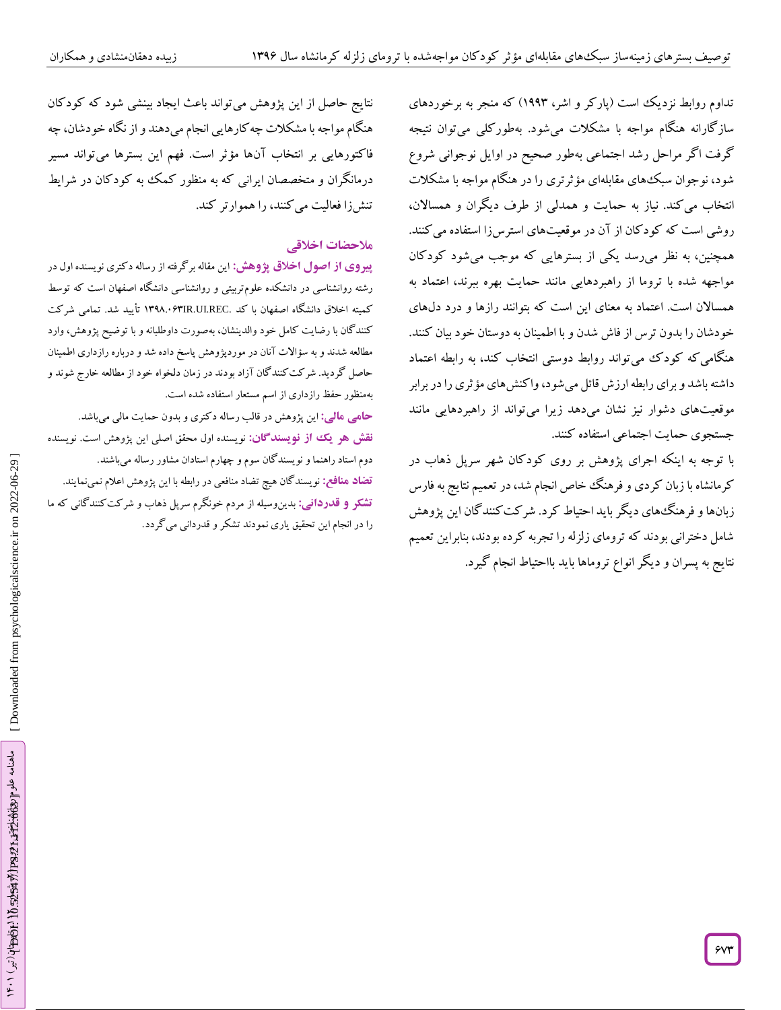تداوم روابط نزدیک است (پار کر و اشر، ۱۹۹۳) که منجر به برخوردهای ساز کارانه هنگام مواجه با مشکلات میشود. بهطورکلی میتوان نتیجه گرفت اگر مراحل رشد اجتماعی بهطور صحیح در اوایل نوجوانی شروع شود، نوجوان سبکههای مقابلهای مؤثرتری را در هنگام مواجه با مشکلات انتخاب می کند. نیاز به حمایت و همدلی از طرف دیگران و همسالان، روشی است که کودکان از آن در موقعیتهای استرسiرا استفاده می کنند. همچنین، به نظر میررسد یکی از بسترهایی که موجب میشود کودکان مواجهه شده با تروما از راهبردهایی مانند حمایت بهره ببرند، اعتماد به همسالان است. اعتماد به معنای این است که بتوانند رازها و درد دل@ای خودشان را بدون ترس از فاش شدن و با اطمینان به دوستان خود بیان کنند. هنکامی که کودک می تواند روابط دوستی انتخاب کند، به رابطه اعتماد داشته باشد و برای رابطه ارزش قائل می شود، وا کنش های مؤثری را در برابر موقعیتهای دشوار نیز نشان میدهد زیرا میتواند از راهبردهایی مانند جستجوی حمایت اجتماعی استفاده کنند.

با توجه به اینکه اجرای پژوهش بر روی کودکان شهر سرپل ذهاب در کرمانشاه با زبان کردی و فرهنگ خاص انجام شد، در تعمیم نتایج به فارس زبانها و فرهنگهای دیگر باید احتیاط کرد. شر کت کنند کان این پژوهش بنابراین تعمیم نتایج به پسران و دیگر انواع تروماها باید بااحتیاط انجام گیرد.

نتایج حاصل از این پژوهش می تواند باعث ایجاد بینشی شود که کود کان هنگام مواجه با مشکلات چه کارهایی انجام میدهند و از نگاه خودشان، چه فاکتورهایی بر انتخاب آنها مؤثر است. فهم این بسترها میتواند مسیر درمانگران و متخصصان ایرانی که به منظور کمک به کودکان در شرایط تنشرزا فعالیت می کنند، را هموارتر کند.

### **مالحضات اخالقی**

**پیروی از اصول اخلاق پژوهش:** این مقاله برگرفته از رساله دکتری نویسنده اول در رشته روانشناسی در دانشکده علومتربیتی و روانشناسی دانشگاه اصفهان است که توسط کمیته اخلاق دانشگاه اصفهان با کد .NMA.۰۶۳IR.UI.REC تأیید شد. تمامی شرکت کنند کان با رضایت کامل خود والدینشان، بهصورت داوطلبانه و با توضیح پژوهش، وارد مطالعه شدند و به سؤالات آنان در موردپژوهش پاسخ داده شد و درباره رازداری اطمینان حاصل کردید. شر کت کنند کان آزاد بودند در زمان دلخواه خود از مطالعه خارج شوند و بهمنظور حفظ رازداری از اسم مستعار استفاده شده است. این پژوهش در قالب رساله دکتری و بدون حمایت مالی میباشد. **: مالی حامی** <mark>نقش هو یک از نویسندگان:</mark> نویسنده اول محقق اصلی این پژوهش است. نویسنده دوم استاد راهنما و نویسندگان سوم و چهارم استادان مشاور رساله می<sub>ن</sub>اشند.<br><mark>تضاد منافع:</mark> نویسندگان هیچ تضاد منافعی در رابطه با این پژوهش اعلام نمیiمایند.

بدینوسیله از مردم خونگرم سرپل ذهاب و شرکتکنندگانی که ما **: قدردانی تشکر و** را در انجام این تحقیق یاری نمودند تشکر و قدردانی میگردد.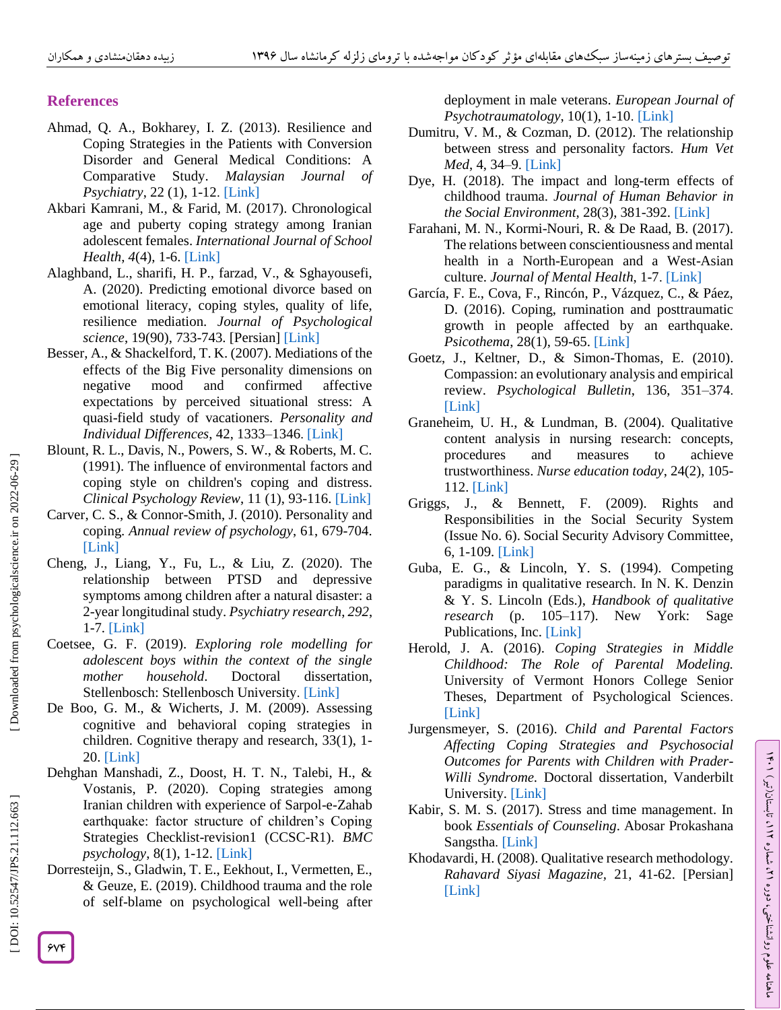# **References**

- Ahmad, Q. A., Bokharey, I. Z. (2013). Resilience and Coping Strategies in the Patients with Conversion Disorder and General Medical Conditions: A Comparative Study. *Malaysian Journal of Psychiatry*, 22 (1), 1 -12 . [\[Link\]](http://www.mjpsychiatry.org/index.php/mjp/article/view/224)
- Akbari Kamrani, M., & Farid, M. (2017). Chronological age and puberty coping strategy among Iranian adolescent females. *International Journal of School Health* , *4*(4), 1 -6. [\[Link\]](https://intjsh.sums.ac.ir/article_45127.html)
- Alaghband, L., sharifi, H. P., farzad, V., & Sghayousefi, A. (2020). Predicting emotional divorce based on emotional literacy, coping styles, quality of life, resilience mediation. *Journal of Psychological science*, 19(90), 733 -743. [Persian] [\[Link\]](http://psychologicalscience.ir/article-1-603-fa.html)
- Besser, A., & Shackelford, T. K. (2007). Mediations of the effects of the Big Five personality dimensions on negative mood and confirmed affective expectations by perceived situational stress: A quasi -field study of vacationers. *Personality and Individual Differences*, 42, 1333 –1346 . [\[Link\]](https://doi.org/10.1016/j.paid.2006.10.011)
- Blount, R. L., Davis, N., Powers, S. W., & Roberts, M. C. (1991). The influence of environmental factors and coping style on children's coping and distress. *Clinical Psychology Review*, 11 (1), 93 -116. [\[Link\]](https://doi.org/10.1016/0272-7358\(91\)90139-L)
- Carver, C. S., & Connor -Smith, J. (2010). Personality and coping. *Annual review of psychology*, 61, 679 -704. [\[Link\]](https://doi.org/10.1146/annurev.psych.093008.100352)
- Cheng, J., Liang, Y., Fu, L., & Liu, Z. (2020). The relationship between PTSD and depressive symptoms among children after a natural disaster: a 2-year longitudinal study. *Psychiatry research*, *<sup>292</sup>*, 1-7. [\[Link\]](https://doi.org/10.1016/j.psychres.2020.113296)
- Coetsee, G. F. (2019). *Exploring role modelling for adolescent boys within the context of the single mother household*. Doctoral dissertation, Stellenbosch: Stellenbosch University. [\[Link\]](file:///C:/Users/pc%20rayan/Downloads/coetsee_adolescent_2019%20\(1\).pdf)
- De Boo, G. M., & Wicherts, J. M. (2009). Assessing cognitive and behavioral coping strategies in children. Cognitive therapy and research, 33(1), 1 - 20. [\[Link\]](https://doi.org/10.1007/s10608-007-9135-0)
- Dehghan Manshadi, Z., Doost, H. T. N., Talebi, H., & Vostanis, P. (2020). Coping strategies among Iranian children with experience of Sarpol-e-Zahab earthquake: factor structure of children's Coping Strategies Checklist-revision1 (CCSC-R1). *BMC psychology*, 8(1), 1 -12. [\[Link\]](https://link.springer.com/article/10.1186/s40359-020-00456-8)
- Dorresteijn, S., Gladwin, T. E., Eekhout, I., Vermetten, E., & Geuze, E. (2019). Childhood trauma and the role of self-blame on psychological well -being after

deployment in male veterans. *European Journal of*  Psychotraumatology, 10(1), 1-10. [\[Link\]](https://doi.org/10.1080/20008198.2018.1558705)

- Dumitru, V. M., & Cozman, D. (2012). The relationship between stress and personality factors*. Hum Vet Med*, 4, 34–9. [\[Link\]](https://www.researchgate.net/profile/Doina-Cozman/publication/268063280_The_relationship_between_stress_and_personality_factors/links/54e193790cf24d184b111bb1/The-relationship-between-stress-and-personality-factors.pdf)
- Dye, H. (2018). The impact and long-term effects of childhood trauma. *Journal of Human Behavior in the Social Environment*, 28(3), 381 -392. [\[Link\]](https://doi.org/10.1080/10911359.2018.1435328)
- Farahani, M. N., Kormi -Nouri, R. & De Raad, B. (2017). The relations between conscientiousness and mental health in a North -European and a West -Asian culture. Journal of Mental Health, 1-7. [\[Link\]](https://doi.org/10.1080/09638237.2017.1340597)
- García, F. E., Cova, F., Rincón, P., Vázquez, C., & Páez, D. (2016). Coping, rumination and posttraumatic growth in people affected by an earthquake. *Psicothema*, 28(1), 59 -65[. \[Link\]](https://www.redalyc.org/pdf/727/72743610009.pdf)
- Goetz, J., Keltner, D., & Simon -Thomas, E. (2010). Compassion: an evolutionary analysis and empirical review. *Psychological Bulletin*, 136, 351 –374 . [\[Link\]](https://psycnet.apa.org/buy/2010-07936-005)
- Graneheim, U. H., & Lundman, B. (2004). Qualitative content analysis in nursing research: concepts, procedures and measures to achieve trustworthiness. *Nurse education today*, 24(2), 105 - 112. [\[Link\]](https://doi.org/10.1016/j.nedt.2003.10.001)
- Griggs, J., & Bennett, F. (2009). Rights and Responsibilities in the Social Security System (Issue No. 6). Social Security Advisory Committee, 6, 1 -109. [\[Link\]](https://assets.publishing.service.gov.uk/government/uploads/system/uploads/attachment_data/file/323833/ssac_occasional_paper_6.pdf)
- Guba, E. G., & Lincoln, Y. S. (1994). Competing paradigms in qualitative research. In N. K. Denzin & Y. S. Lincoln (Eds.), *Handbook of qualitative research* (p. 105 –117). New York: Sage Publications, Inc. [\[Link\]](https://miguelangelmartinez.net/IMG/pdf/1994_Guba_Lincoln_Paradigms_Quali_Research_chapter.pdf)
- Herold, J. A. (2016). *Coping Strategies in Middle Childhood: The Role of Parental Modeling.*  University of Vermont Honors College Senior Theses, Department of Psychological Sciences . [\[Link\]](https://scholarworks.uvm.edu/hcoltheses/149/)
- Jurgensmeyer, S. (2016). *Child and Parental Factors Affecting Coping Strategies and Psychosocial Outcomes for Parents with Children with Prader - Willi Syndrome.* Doctoral dissertation, Vanderbilt University. [\[Link\]](http://hdl.handle.net/1803/7546)
- Kabir, S. M. S. (2017). Stress and time management. In book *Essentials of Counseling*. Abosar Prokashana Sangstha. [\[Link\]](https://www.researchgate.net/publication/325546110_STRESS_AND_TIME_MANAGEMENT)
- Khodavardi, H. (2008). Qualitative research methodology. *Rahavard Siyasi Magazine,* 21, 41 -62. [Persian] [\[Link\]](http://ensani.ir/file/download/article/20120329103345-2076-11.pdf)

674F